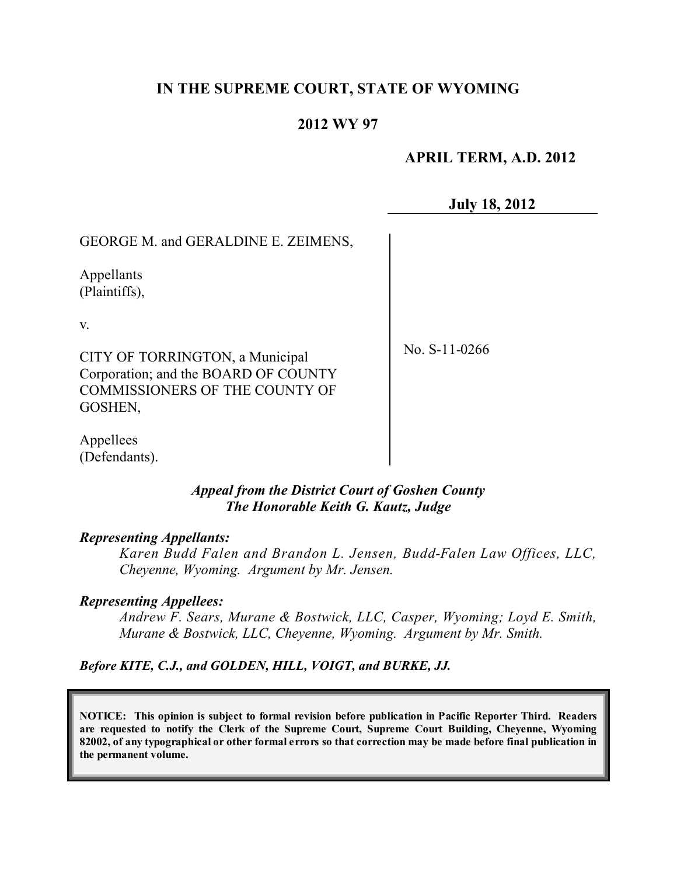# **IN THE SUPREME COURT, STATE OF WYOMING**

## **2012 WY 97**

## **APRIL TERM, A.D. 2012**

**July 18, 2012**

GEORGE M. and GERALDINE E. ZEIMENS,

Appellants (Plaintiffs),

v.

CITY OF TORRINGTON, a Municipal Corporation; and the BOARD OF COUNTY COMMISSIONERS OF THE COUNTY OF GOSHEN,

No. S-11-0266

Appellees (Defendants).

### *Appeal from the District Court of Goshen County The Honorable Keith G. Kautz, Judge*

#### *Representing Appellants:*

*Karen Budd Falen and Brandon L. Jensen, Budd-Falen Law Offices, LLC, Cheyenne, Wyoming. Argument by Mr. Jensen.*

### *Representing Appellees:*

*Andrew F. Sears, Murane & Bostwick, LLC, Casper, Wyoming; Loyd E. Smith, Murane & Bostwick, LLC, Cheyenne, Wyoming. Argument by Mr. Smith.*

*Before KITE, C.J., and GOLDEN, HILL, VOIGT, and BURKE, JJ.*

**NOTICE: This opinion is subject to formal revision before publication in Pacific Reporter Third. Readers are requested to notify the Clerk of the Supreme Court, Supreme Court Building, Cheyenne, Wyoming** 82002, of any typographical or other formal errors so that correction may be made before final publication in **the permanent volume.**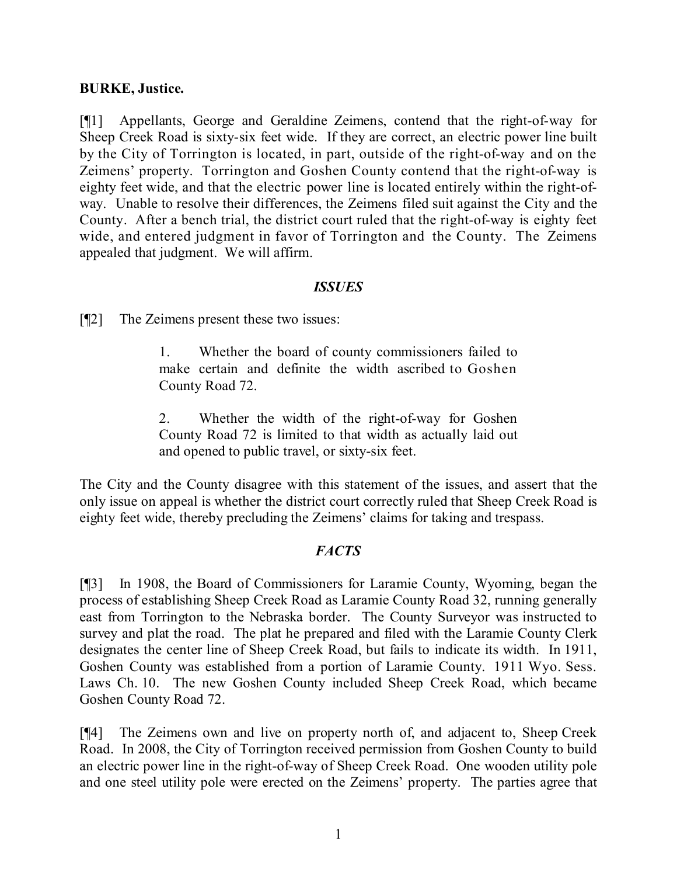### **BURKE, Justice.**

[¶1] Appellants, George and Geraldine Zeimens, contend that the right-of-way for Sheep Creek Road is sixty-six feet wide. If they are correct, an electric power line built by the City of Torrington is located, in part, outside of the right-of-way and on the Zeimens' property. Torrington and Goshen County contend that the right-of-way is eighty feet wide, and that the electric power line is located entirely within the right-ofway. Unable to resolve their differences, the Zeimens filed suit against the City and the County. After a bench trial, the district court ruled that the right-of-way is eighty feet wide, and entered judgment in favor of Torrington and the County. The Zeimens appealed that judgment. We will affirm.

### *ISSUES*

[¶2] The Zeimens present these two issues:

1. Whether the board of county commissioners failed to make certain and definite the width ascribed to Goshen County Road 72.

2. Whether the width of the right-of-way for Goshen County Road 72 is limited to that width as actually laid out and opened to public travel, or sixty-six feet.

The City and the County disagree with this statement of the issues, and assert that the only issue on appeal is whether the district court correctly ruled that Sheep Creek Road is eighty feet wide, thereby precluding the Zeimens' claims for taking and trespass.

### *FACTS*

[¶3] In 1908, the Board of Commissioners for Laramie County, Wyoming, began the process of establishing Sheep Creek Road as Laramie County Road 32, running generally east from Torrington to the Nebraska border. The County Surveyor was instructed to survey and plat the road. The plat he prepared and filed with the Laramie County Clerk designates the center line of Sheep Creek Road, but fails to indicate its width. In 1911, Goshen County was established from a portion of Laramie County. 1911 Wyo. Sess. Laws Ch. 10. The new Goshen County included Sheep Creek Road, which became Goshen County Road 72.

[¶4] The Zeimens own and live on property north of, and adjacent to, Sheep Creek Road. In 2008, the City of Torrington received permission from Goshen County to build an electric power line in the right-of-way of Sheep Creek Road. One wooden utility pole and one steel utility pole were erected on the Zeimens' property. The parties agree that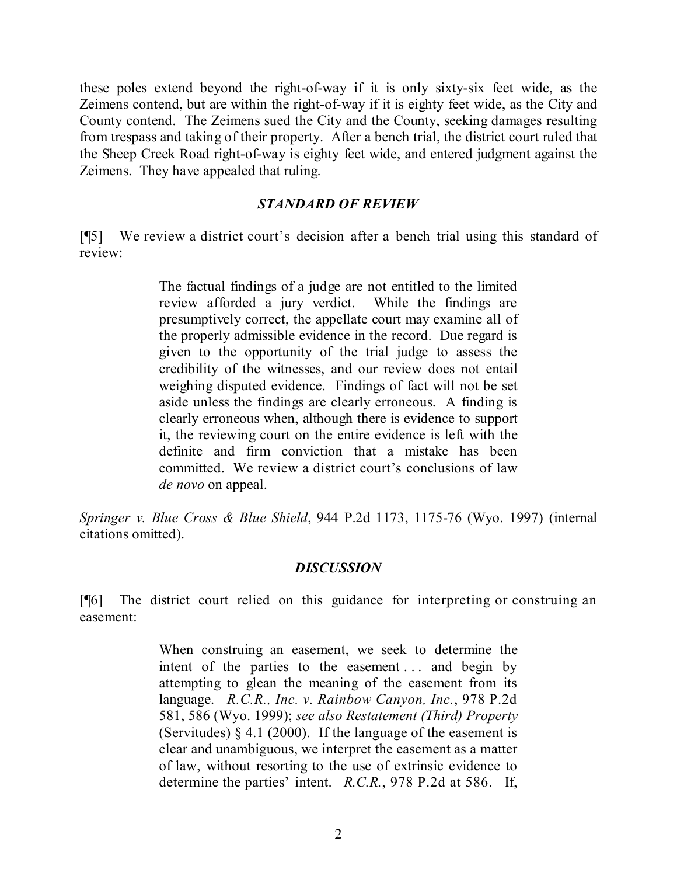these poles extend beyond the right-of-way if it is only sixty-six feet wide, as the Zeimens contend, but are within the right-of-way if it is eighty feet wide, as the City and County contend. The Zeimens sued the City and the County, seeking damages resulting from trespass and taking of their property. After a bench trial, the district court ruled that the Sheep Creek Road right-of-way is eighty feet wide, and entered judgment against the Zeimens. They have appealed that ruling.

#### *STANDARD OF REVIEW*

[¶5] We review a district court's decision after a bench trial using this standard of review:

> The factual findings of a judge are not entitled to the limited review afforded a jury verdict. While the findings are presumptively correct, the appellate court may examine all of the properly admissible evidence in the record. Due regard is given to the opportunity of the trial judge to assess the credibility of the witnesses, and our review does not entail weighing disputed evidence. Findings of fact will not be set aside unless the findings are clearly erroneous. A finding is clearly erroneous when, although there is evidence to support it, the reviewing court on the entire evidence is left with the definite and firm conviction that a mistake has been committed. We review a district court's conclusions of law *de novo* on appeal.

*Springer v. Blue Cross & Blue Shield*, 944 P.2d 1173, 1175-76 (Wyo. 1997) (internal citations omitted).

### *DISCUSSION*

[¶6] The district court relied on this guidance for interpreting or construing an easement:

> When construing an easement, we seek to determine the intent of the parties to the easement ... and begin by attempting to glean the meaning of the easement from its language. *R.C.R., Inc. v. Rainbow Canyon, Inc.*, 978 P.2d 581, 586 (Wyo. 1999); *see also Restatement (Third) Property* (Servitudes)  $\S 4.1$  (2000). If the language of the easement is clear and unambiguous, we interpret the easement as a matter of law, without resorting to the use of extrinsic evidence to determine the parties' intent. *R.C.R.*, 978 P.2d at 586. If,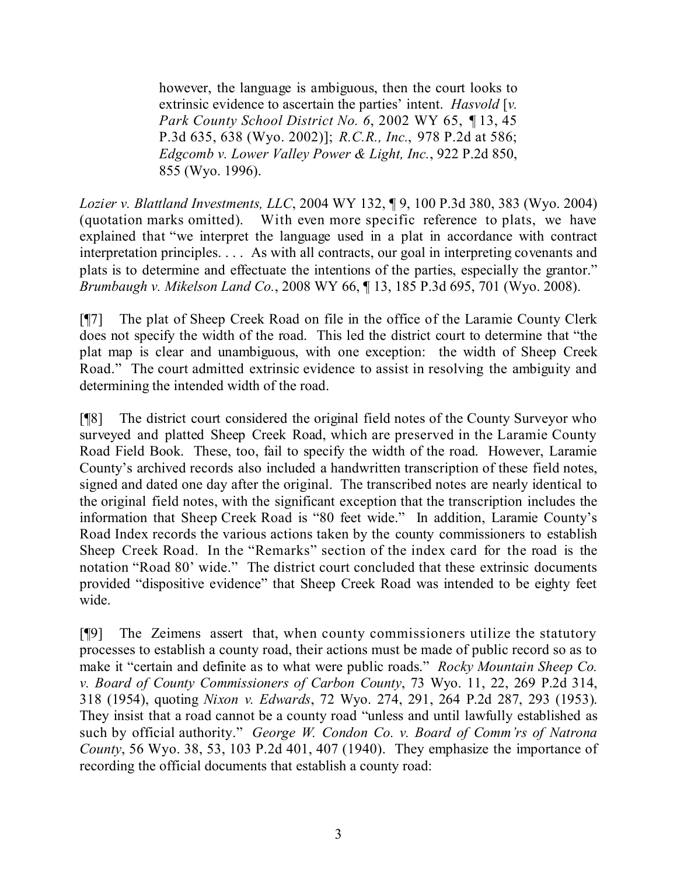however, the language is ambiguous, then the court looks to extrinsic evidence to ascertain the parties' intent. *Hasvold* [*v. Park County School District No. 6*, 2002 WY 65, ¶ 13, 45 P.3d 635, 638 (Wyo. 2002)]; *R.C.R., Inc.*, 978 P.2d at 586; *Edgcomb v. Lower Valley Power & Light, Inc.*, 922 P.2d 850, 855 (Wyo. 1996).

*Lozier v. Blattland Investments, LLC*, 2004 WY 132, ¶ 9, 100 P.3d 380, 383 (Wyo. 2004) (quotation marks omitted). With even more specific reference to plats, we have explained that "we interpret the language used in a plat in accordance with contract interpretation principles. . . . As with all contracts, our goal in interpreting covenants and plats is to determine and effectuate the intentions of the parties, especially the grantor." *Brumbaugh v. Mikelson Land Co.*, 2008 WY 66, ¶ 13, 185 P.3d 695, 701 (Wyo. 2008).

[¶7] The plat of Sheep Creek Road on file in the office of the Laramie County Clerk does not specify the width of the road. This led the district court to determine that "the plat map is clear and unambiguous, with one exception: the width of Sheep Creek Road." The court admitted extrinsic evidence to assist in resolving the ambiguity and determining the intended width of the road.

[¶8] The district court considered the original field notes of the County Surveyor who surveyed and platted Sheep Creek Road, which are preserved in the Laramie County Road Field Book. These, too, fail to specify the width of the road. However, Laramie County's archived records also included a handwritten transcription of these field notes, signed and dated one day after the original. The transcribed notes are nearly identical to the original field notes, with the significant exception that the transcription includes the information that Sheep Creek Road is "80 feet wide." In addition, Laramie County's Road Index records the various actions taken by the county commissioners to establish Sheep Creek Road. In the "Remarks" section of the index card for the road is the notation "Road 80' wide." The district court concluded that these extrinsic documents provided "dispositive evidence" that Sheep Creek Road was intended to be eighty feet wide.

[¶9] The Zeimens assert that, when county commissioners utilize the statutory processes to establish a county road, their actions must be made of public record so as to make it "certain and definite as to what were public roads." *Rocky Mountain Sheep Co. v. Board of County Commissioners of Carbon County*, 73 Wyo. 11, 22, 269 P.2d 314, 318 (1954), quoting *Nixon v. Edwards*, 72 Wyo. 274, 291, 264 P.2d 287, 293 (1953). They insist that a road cannot be a county road "unless and until lawfully established as such by official authority." *George W. Condon Co. v. Board of Comm'rs of Natrona County*, 56 Wyo. 38, 53, 103 P.2d 401, 407 (1940). They emphasize the importance of recording the official documents that establish a county road: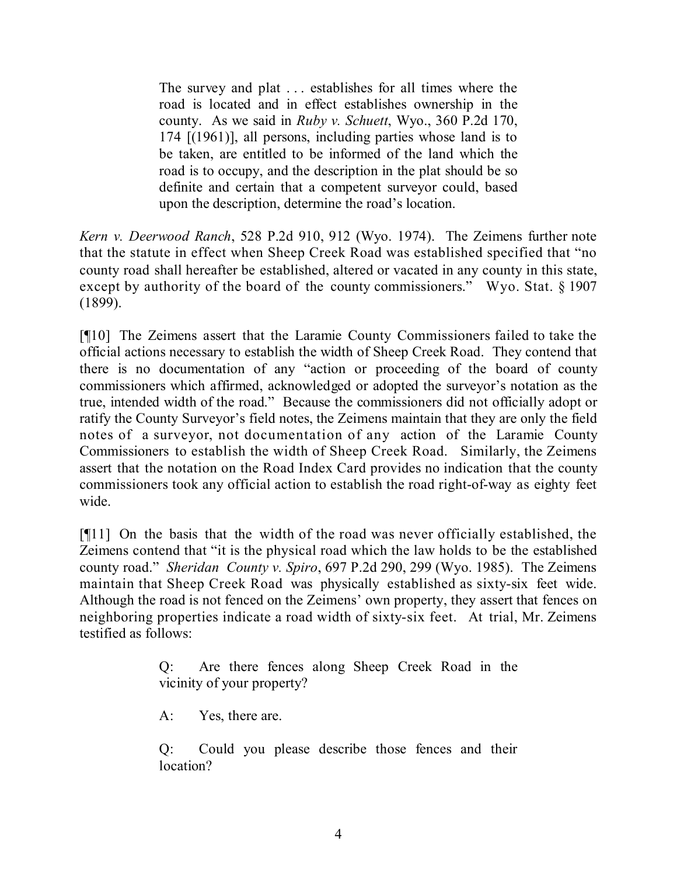The survey and plat . . . establishes for all times where the road is located and in effect establishes ownership in the county. As we said in *Ruby v. Schuett*, Wyo., 360 P.2d 170, 174 [(1961)], all persons, including parties whose land is to be taken, are entitled to be informed of the land which the road is to occupy, and the description in the plat should be so definite and certain that a competent surveyor could, based upon the description, determine the road's location.

*Kern v. Deerwood Ranch*, 528 P.2d 910, 912 (Wyo. 1974). The Zeimens further note that the statute in effect when Sheep Creek Road was established specified that "no county road shall hereafter be established, altered or vacated in any county in this state, except by authority of the board of the county commissioners." Wyo. Stat. § 1907 (1899).

[¶10] The Zeimens assert that the Laramie County Commissioners failed to take the official actions necessary to establish the width of Sheep Creek Road. They contend that there is no documentation of any "action or proceeding of the board of county commissioners which affirmed, acknowledged or adopted the surveyor's notation as the true, intended width of the road." Because the commissioners did not officially adopt or ratify the County Surveyor's field notes, the Zeimens maintain that they are only the field notes of a surveyor, not documentation of any action of the Laramie County Commissioners to establish the width of Sheep Creek Road. Similarly, the Zeimens assert that the notation on the Road Index Card provides no indication that the county commissioners took any official action to establish the road right-of-way as eighty feet wide.

[¶11] On the basis that the width of the road was never officially established, the Zeimens contend that "it is the physical road which the law holds to be the established county road." *Sheridan County v. Spiro*, 697 P.2d 290, 299 (Wyo. 1985). The Zeimens maintain that Sheep Creek Road was physically established as sixty-six feet wide. Although the road is not fenced on the Zeimens' own property, they assert that fences on neighboring properties indicate a road width of sixty-six feet. At trial, Mr. Zeimens testified as follows:

> Q: Are there fences along Sheep Creek Road in the vicinity of your property?

A: Yes, there are.

Q: Could you please describe those fences and their location?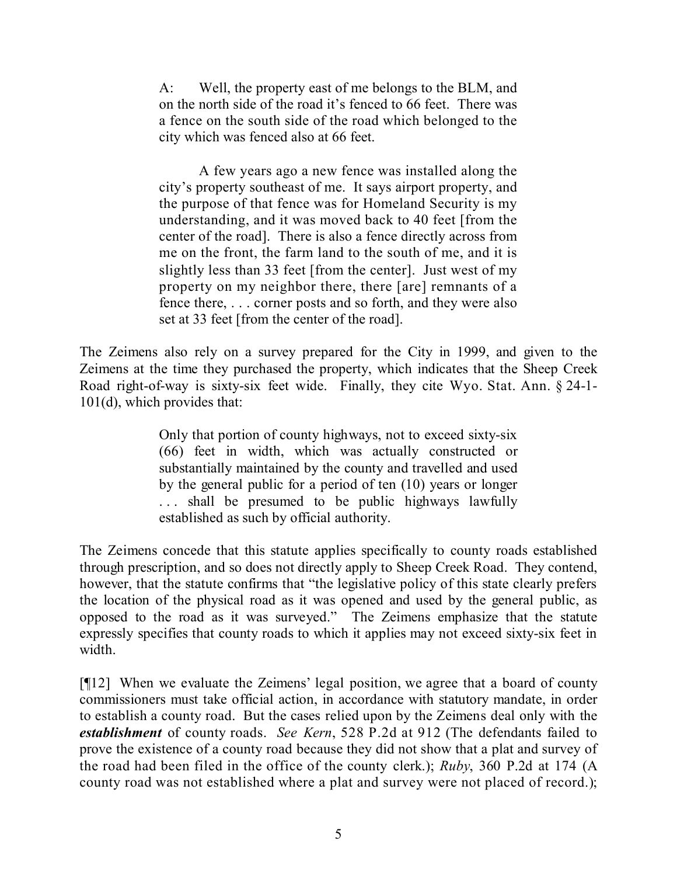A: Well, the property east of me belongs to the BLM, and on the north side of the road it's fenced to 66 feet. There was a fence on the south side of the road which belonged to the city which was fenced also at 66 feet.

A few years ago a new fence was installed along the city's property southeast of me. It says airport property, and the purpose of that fence was for Homeland Security is my understanding, and it was moved back to 40 feet [from the center of the road]. There is also a fence directly across from me on the front, the farm land to the south of me, and it is slightly less than 33 feet [from the center]. Just west of my property on my neighbor there, there [are] remnants of a fence there, . . . corner posts and so forth, and they were also set at 33 feet [from the center of the road].

The Zeimens also rely on a survey prepared for the City in 1999, and given to the Zeimens at the time they purchased the property, which indicates that the Sheep Creek Road right-of-way is sixty-six feet wide. Finally, they cite Wyo. Stat. Ann. § 24-1- 101(d), which provides that:

> Only that portion of county highways, not to exceed sixty-six (66) feet in width, which was actually constructed or substantially maintained by the county and travelled and used by the general public for a period of ten (10) years or longer ... shall be presumed to be public highways lawfully established as such by official authority.

The Zeimens concede that this statute applies specifically to county roads established through prescription, and so does not directly apply to Sheep Creek Road. They contend, however, that the statute confirms that "the legislative policy of this state clearly prefers the location of the physical road as it was opened and used by the general public, as opposed to the road as it was surveyed." The Zeimens emphasize that the statute expressly specifies that county roads to which it applies may not exceed sixty-six feet in width.

[¶12] When we evaluate the Zeimens' legal position, we agree that a board of county commissioners must take official action, in accordance with statutory mandate, in order to establish a county road. But the cases relied upon by the Zeimens deal only with the *establishment* of county roads. *See Kern*, 528 P.2d at 912 (The defendants failed to prove the existence of a county road because they did not show that a plat and survey of the road had been filed in the office of the county clerk.); *Ruby*, 360 P.2d at 174 (A county road was not established where a plat and survey were not placed of record.);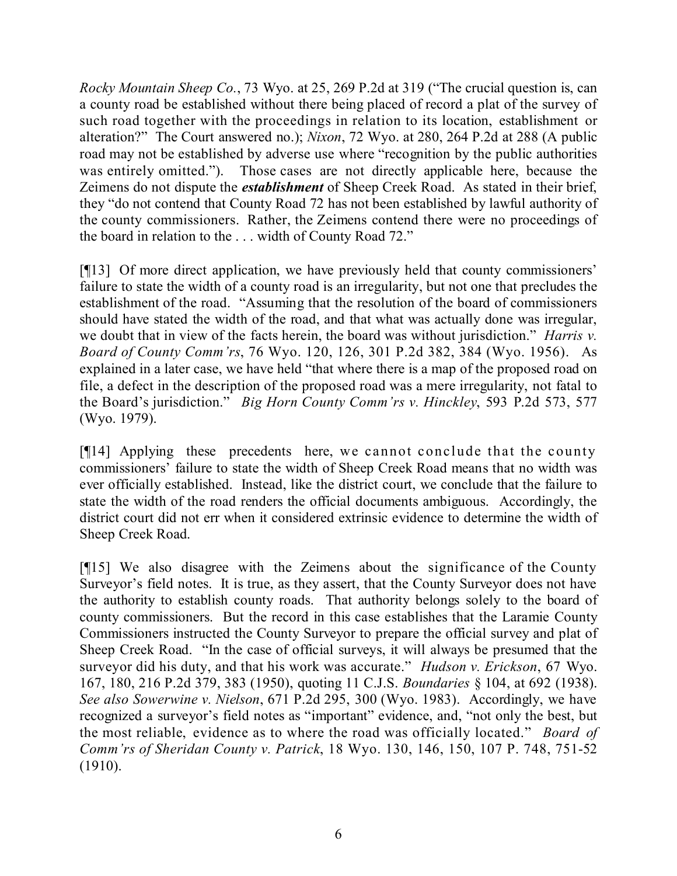*Rocky Mountain Sheep Co.*, 73 Wyo. at 25, 269 P.2d at 319 ("The crucial question is, can a county road be established without there being placed of record a plat of the survey of such road together with the proceedings in relation to its location, establishment or alteration?" The Court answered no.); *Nixon*, 72 Wyo. at 280, 264 P.2d at 288 (A public road may not be established by adverse use where "recognition by the public authorities was entirely omitted."). Those cases are not directly applicable here, because the Zeimens do not dispute the *establishment* of Sheep Creek Road. As stated in their brief, they "do not contend that County Road 72 has not been established by lawful authority of the county commissioners. Rather, the Zeimens contend there were no proceedings of the board in relation to the . . . width of County Road 72."

[¶13] Of more direct application, we have previously held that county commissioners' failure to state the width of a county road is an irregularity, but not one that precludes the establishment of the road. "Assuming that the resolution of the board of commissioners should have stated the width of the road, and that what was actually done was irregular, we doubt that in view of the facts herein, the board was without jurisdiction." *Harris v. Board of County Comm'rs*, 76 Wyo. 120, 126, 301 P.2d 382, 384 (Wyo. 1956). As explained in a later case, we have held "that where there is a map of the proposed road on file, a defect in the description of the proposed road was a mere irregularity, not fatal to the Board's jurisdiction." *Big Horn County Comm'rs v. Hinckley*, 593 P.2d 573, 577 (Wyo. 1979).

[¶14] Applying these precedents here, we cannot conclude that the county commissioners' failure to state the width of Sheep Creek Road means that no width was ever officially established. Instead, like the district court, we conclude that the failure to state the width of the road renders the official documents ambiguous. Accordingly, the district court did not err when it considered extrinsic evidence to determine the width of Sheep Creek Road.

[¶15] We also disagree with the Zeimens about the significance of the County Surveyor's field notes. It is true, as they assert, that the County Surveyor does not have the authority to establish county roads. That authority belongs solely to the board of county commissioners. But the record in this case establishes that the Laramie County Commissioners instructed the County Surveyor to prepare the official survey and plat of Sheep Creek Road. "In the case of official surveys, it will always be presumed that the surveyor did his duty, and that his work was accurate." *Hudson v. Erickson*, 67 Wyo. 167, 180, 216 P.2d 379, 383 (1950), quoting 11 C.J.S. *Boundaries* § 104, at 692 (1938). *See also Sowerwine v. Nielson*, 671 P.2d 295, 300 (Wyo. 1983). Accordingly, we have recognized a surveyor's field notes as "important" evidence, and, "not only the best, but the most reliable, evidence as to where the road was officially located." *Board of Comm'rs of Sheridan County v. Patrick*, 18 Wyo. 130, 146, 150, 107 P. 748, 751-52 (1910).